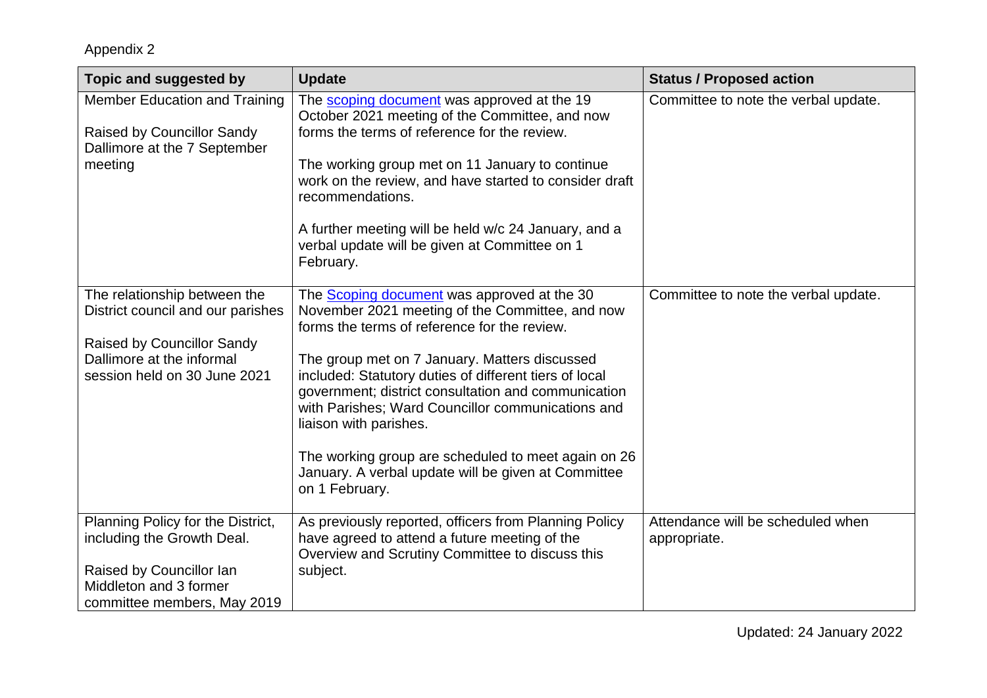| Topic and suggested by                                                                         | <b>Update</b>                                                                                                                                                                                                                                 | <b>Status / Proposed action</b>                   |
|------------------------------------------------------------------------------------------------|-----------------------------------------------------------------------------------------------------------------------------------------------------------------------------------------------------------------------------------------------|---------------------------------------------------|
| <b>Member Education and Training</b><br><b>Raised by Councillor Sandy</b>                      | The scoping document was approved at the 19<br>October 2021 meeting of the Committee, and now<br>forms the terms of reference for the review.                                                                                                 | Committee to note the verbal update.              |
| Dallimore at the 7 September                                                                   |                                                                                                                                                                                                                                               |                                                   |
| meeting                                                                                        | The working group met on 11 January to continue<br>work on the review, and have started to consider draft<br>recommendations.                                                                                                                 |                                                   |
|                                                                                                | A further meeting will be held w/c 24 January, and a<br>verbal update will be given at Committee on 1<br>February.                                                                                                                            |                                                   |
| The relationship between the<br>District council and our parishes                              | The <b>Scoping document</b> was approved at the 30<br>November 2021 meeting of the Committee, and now<br>forms the terms of reference for the review.                                                                                         | Committee to note the verbal update.              |
| <b>Raised by Councillor Sandy</b><br>Dallimore at the informal<br>session held on 30 June 2021 | The group met on 7 January. Matters discussed<br>included: Statutory duties of different tiers of local<br>government; district consultation and communication<br>with Parishes; Ward Councillor communications and<br>liaison with parishes. |                                                   |
|                                                                                                | The working group are scheduled to meet again on 26<br>January. A verbal update will be given at Committee<br>on 1 February.                                                                                                                  |                                                   |
| Planning Policy for the District,<br>including the Growth Deal.                                | As previously reported, officers from Planning Policy<br>have agreed to attend a future meeting of the<br>Overview and Scrutiny Committee to discuss this                                                                                     | Attendance will be scheduled when<br>appropriate. |
| Raised by Councillor Ian<br>Middleton and 3 former<br>committee members, May 2019              | subject.                                                                                                                                                                                                                                      |                                                   |